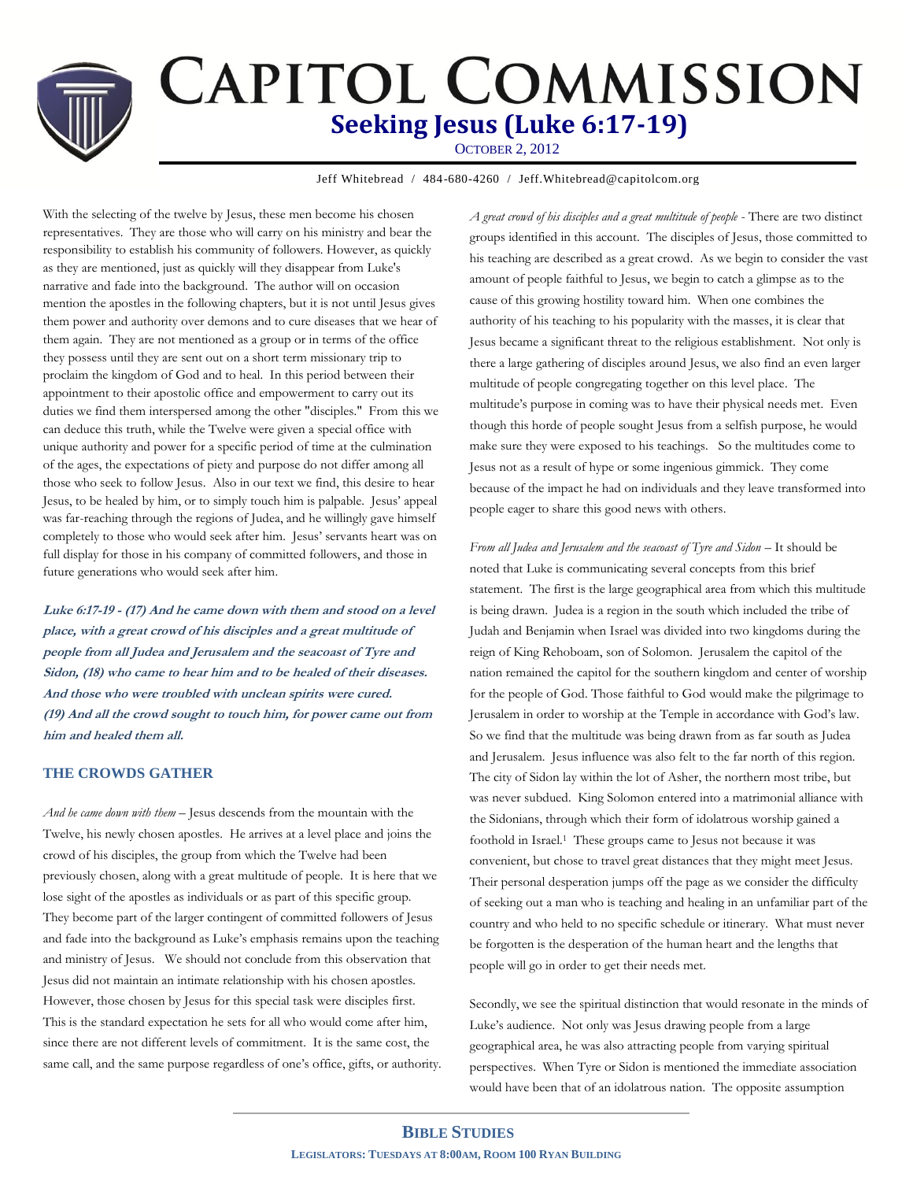# **CAPITOL COMMISSION Seeking Jesus (Luke 6:17-19)** OCTOBER 2, 2012

Jeff Whitebread / 484-680-4260 / Jeff.Whitebread@capitolcom.org

With the selecting of the twelve by Jesus, these men become his chosen representatives. They are those who will carry on his ministry and bear the responsibility to establish his community of followers. However, as quickly as they are mentioned, just as quickly will they disappear from Luke's narrative and fade into the background. The author will on occasion mention the apostles in the following chapters, but it is not until Jesus gives them power and authority over demons and to cure diseases that we hear of them again. They are not mentioned as a group or in terms of the office they possess until they are sent out on a short term missionary trip to proclaim the kingdom of God and to heal. In this period between their appointment to their apostolic office and empowerment to carry out its duties we find them interspersed among the other "disciples." From this we can deduce this truth, while the Twelve were given a special office with unique authority and power for a specific period of time at the culmination of the ages, the expectations of piety and purpose do not differ among all those who seek to follow Jesus. Also in our text we find, this desire to hear Jesus, to be healed by him, or to simply touch him is palpable. Jesus' appeal was far-reaching through the regions of Judea, and he willingly gave himself completely to those who would seek after him. Jesus' servants heart was on full display for those in his company of committed followers, and those in future generations who would seek after him.

**Luke 6:17-19 - (17) And he came down with them and stood on a level place, with a great crowd of his disciples and a great multitude of people from all Judea and Jerusalem and the seacoast of Tyre and Sidon, (18) who came to hear him and to be healed of their diseases. And those who were troubled with unclean spirits were cured. (19) And all the crowd sought to touch him, for power came out from him and healed them all.** 

## **THE CROWDS GATHER**

*And he came down with them –* Jesus descends from the mountain with the Twelve, his newly chosen apostles. He arrives at a level place and joins the crowd of his disciples, the group from which the Twelve had been previously chosen, along with a great multitude of people. It is here that we lose sight of the apostles as individuals or as part of this specific group. They become part of the larger contingent of committed followers of Jesus and fade into the background as Luke's emphasis remains upon the teaching and ministry of Jesus. We should not conclude from this observation that Jesus did not maintain an intimate relationship with his chosen apostles. However, those chosen by Jesus for this special task were disciples first. This is the standard expectation he sets for all who would come after him, since there are not different levels of commitment. It is the same cost, the same call, and the same purpose regardless of one's office, gifts, or authority. *A great crowd of his disciples and a great multitude of people* - There are two distinct groups identified in this account. The disciples of Jesus, those committed to his teaching are described as a great crowd. As we begin to consider the vast amount of people faithful to Jesus, we begin to catch a glimpse as to the cause of this growing hostility toward him. When one combines the authority of his teaching to his popularity with the masses, it is clear that Jesus became a significant threat to the religious establishment. Not only is there a large gathering of disciples around Jesus, we also find an even larger multitude of people congregating together on this level place. The multitude's purpose in coming was to have their physical needs met. Even though this horde of people sought Jesus from a selfish purpose, he would make sure they were exposed to his teachings. So the multitudes come to Jesus not as a result of hype or some ingenious gimmick. They come because of the impact he had on individuals and they leave transformed into people eager to share this good news with others.

*From all Judea and Jerusalem and the seacoast of Tyre and Sidon* – It should be noted that Luke is communicating several concepts from this brief statement. The first is the large geographical area from which this multitude is being drawn. Judea is a region in the south which included the tribe of Judah and Benjamin when Israel was divided into two kingdoms during the reign of King Rehoboam, son of Solomon. Jerusalem the capitol of the nation remained the capitol for the southern kingdom and center of worship for the people of God. Those faithful to God would make the pilgrimage to Jerusalem in order to worship at the Temple in accordance with God's law. So we find that the multitude was being drawn from as far south as Judea and Jerusalem. Jesus influence was also felt to the far north of this region. The city of Sidon lay within the lot of Asher, the northern most tribe, but was never subdued. King Solomon entered into a matrimonial alliance with the Sidonians, through which their form of idolatrous worship gained a foothold in Israel.1 These groups came to Jesus not because it was convenient, but chose to travel great distances that they might meet Jesus. Their personal desperation jumps off the page as we consider the difficulty of seeking out a man who is teaching and healing in an unfamiliar part of the country and who held to no specific schedule or itinerary. What must never be forgotten is the desperation of the human heart and the lengths that people will go in order to get their needs met.

Secondly, we see the spiritual distinction that would resonate in the minds of Luke's audience. Not only was Jesus drawing people from a large geographical area, he was also attracting people from varying spiritual perspectives. When Tyre or Sidon is mentioned the immediate association would have been that of an idolatrous nation. The opposite assumption